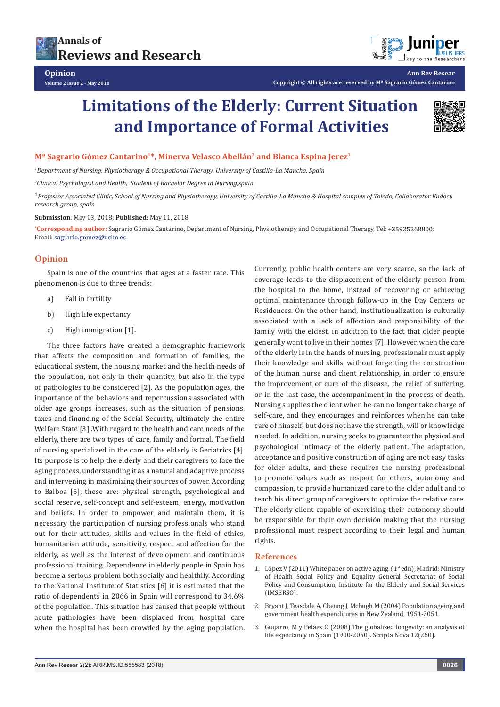



**Ann Rev Resear Copyright © All rights are reserved by Mª Sagrario Gómez Cantarino**

# **Limitations of the Elderly: Current Situation and Importance of Formal Activities**



# **Mª Sagrario Gómez Cantarino1\*, Minerva Velasco Abellán2 and Blanca Espina Jerez3**

*1 Department of Nursing, Physiotherapy & Occupational Therapy, University of Castilla-La Mancha, Spain*

*2 Clinical Psychologist and Health, Student of Bachelor Degree in Nursing,spain*

*3 Professor Associated Clinic, School of Nursing and Physiotherapy, University of Castilla-La Mancha & Hospital complex of Toledo, Collaborator Endocu research group, spain*

### **Submission**: May 03, 2018; **Published:** May 11, 2018

**\*Corresponding author:** Sagrario Gómez Cantarino, Department of Nursing, Physiotherapy and Occupational Therapy, Tel: +35925268800; Email: sagrario.gomez@uclm.es

## **Opinion**

Spain is one of the countries that ages at a faster rate. This phenomenon is due to three trends:

- a) Fall in fertility
- b) High life expectancy
- c) High immigration [1].

The three factors have created a demographic framework that affects the composition and formation of families, the educational system, the housing market and the health needs of the population, not only in their quantity, but also in the type of pathologies to be considered [2]. As the population ages, the importance of the behaviors and repercussions associated with older age groups increases, such as the situation of pensions, taxes and financing of the Social Security, ultimately the entire Welfare State [3] .With regard to the health and care needs of the elderly, there are two types of care, family and formal. The field of nursing specialized in the care of the elderly is Geriatrics [4]. Its purpose is to help the elderly and their caregivers to face the aging process, understanding it as a natural and adaptive process and intervening in maximizing their sources of power. According to Balboa [5], these are: physical strength, psychological and social reserve, self-concept and self-esteem, energy, motivation and beliefs. In order to empower and maintain them, it is necessary the participation of nursing professionals who stand out for their attitudes, skills and values in the field of ethics, humanitarian attitude, sensitivity, respect and affection for the elderly, as well as the interest of development and continuous professional training. Dependence in elderly people in Spain has become a serious problem both socially and healthily. According to the National Institute of Statistics [6] it is estimated that the ratio of dependents in 2066 in Spain will correspond to 34.6% of the population. This situation has caused that people without acute pathologies have been displaced from hospital care when the hospital has been crowded by the aging population.

Currently, public health centers are very scarce, so the lack of coverage leads to the displacement of the elderly person from the hospital to the home, instead of recovering or achieving optimal maintenance through follow-up in the Day Centers or Residences. On the other hand, institutionalization is culturally associated with a lack of affection and responsibility of the family with the eldest, in addition to the fact that older people generally want to live in their homes [7]. However, when the care of the elderly is in the hands of nursing, professionals must apply their knowledge and skills, without forgetting the construction of the human nurse and client relationship, in order to ensure the improvement or cure of the disease, the relief of suffering, or in the last case, the accompaniment in the process of death. Nursing supplies the client when he can no longer take charge of self-care, and they encourages and reinforces when he can take care of himself, but does not have the strength, will or knowledge needed. In addition, nursing seeks to guarantee the physical and psychological intimacy of the elderly patient. The adaptation, acceptance and positive construction of aging are not easy tasks for older adults, and these requires the nursing professional to promote values such as respect for others, autonomy and compassion, to provide humanized care to the older adult and to teach his direct group of caregivers to optimize the relative care. The elderly client capable of exercising their autonomy should be responsible for their own decisión making that the nursing professional must respect according to their legal and human rights.

#### **References**

- 1. López V (2011) White paper on active aging. ( $1<sup>st</sup>$ edn), Madrid: Ministry of Health Social Policy and Equality General Secretariat of Social Policy and Consumption, Institute for the Elderly and Social Services (IMSERSO).
- 2. [Bryant J, Teasdale A, Cheung J, Mchugh M \(2004\) Population ageing and](https://treasury.govt.nz/publications/wp/population-ageing-and-government-health-expenditures-new-zealand-1951-2051-wp-04-14-html)  [government health expenditures in New Zealand, 1951-2051.](https://treasury.govt.nz/publications/wp/population-ageing-and-government-health-expenditures-new-zealand-1951-2051-wp-04-14-html)
- 3. [Guijarro, M y Peláez O \(2008\) The globalized longevity: an analysis of](http://www.ub.edu/geocrit/sn/sn-260.htm)  [life expectancy in Spain \(1900-2050\). Scripta Nova 12\(260\).](http://www.ub.edu/geocrit/sn/sn-260.htm)